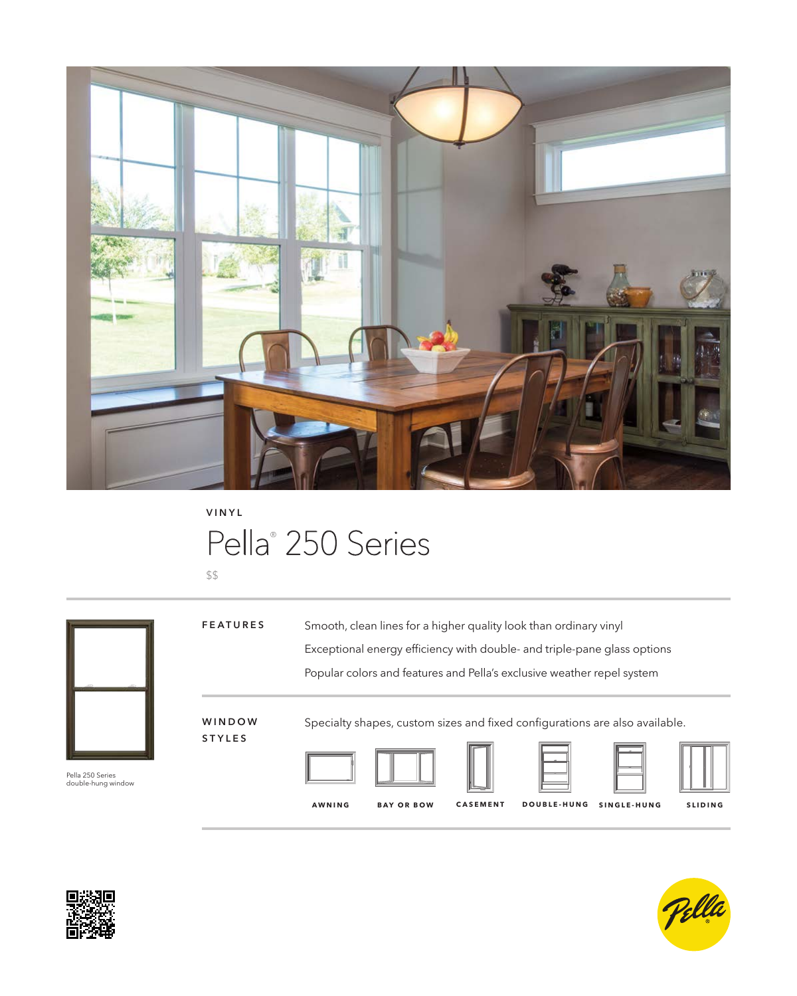

**VINYL**

# Pella® 250 Series

\$\$



Pella 250 Series double-hung window

Smooth, clean lines for a higher quality look than ordinary vinyl Exceptional energy efficiency with double- and triple-pane glass options Popular colors and features and Pella's exclusive weather repel system **FEATURES**

### **W I N D O W STYLES**

Specialty shapes, custom sizes and fixed configurations are also available.











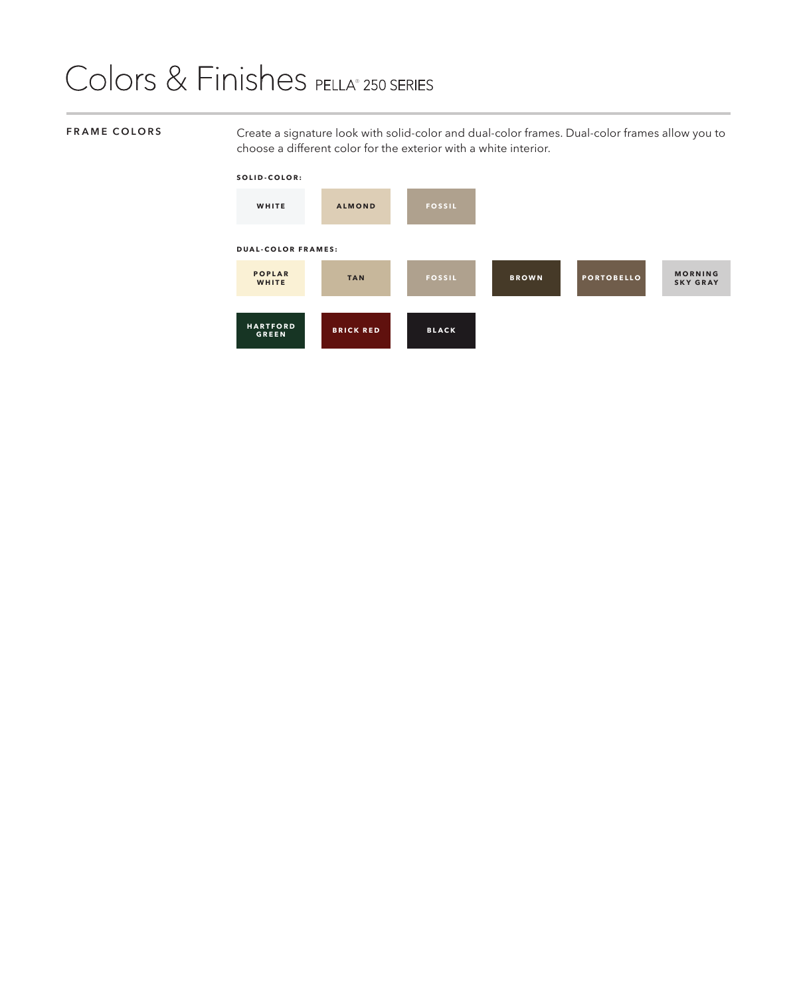## Colors & Finishes PELLA® 250 SERIES

**FRAME COLORS** Create a signature look with solid-color and dual-color frames. Dual-color frames allow you to choose a different color for the exterior with a white interior.

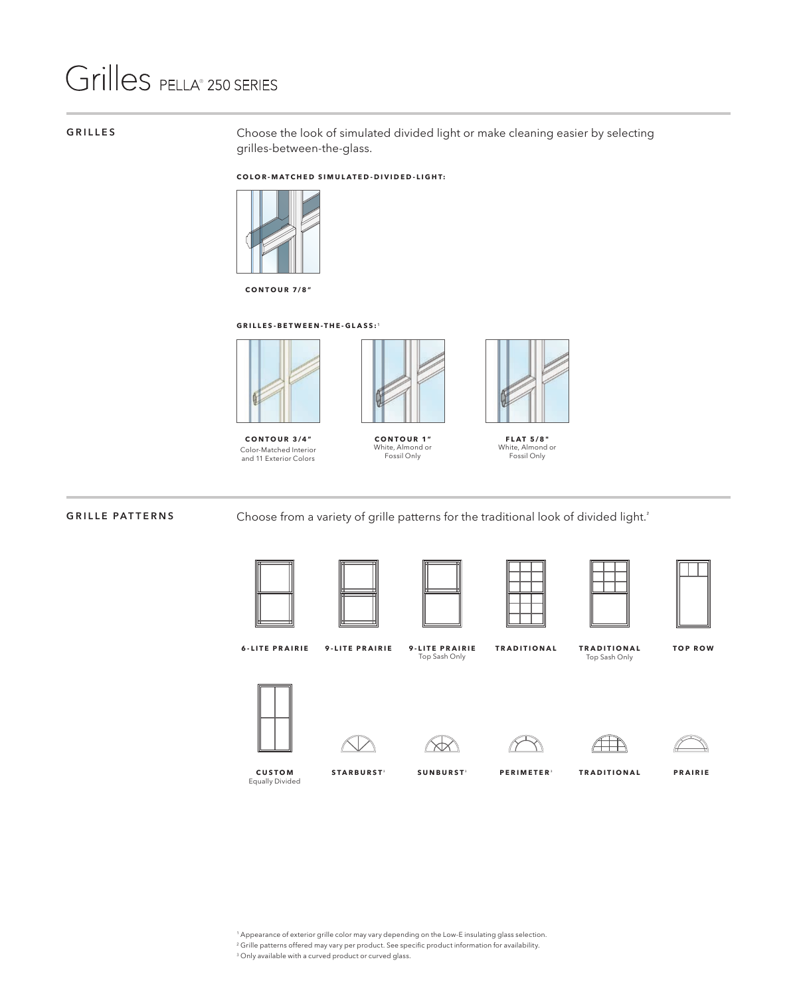## Grilles PELLA® 250 SERIES

**GRILLES** Choose the look of simulated divided light or make cleaning easier by selecting grilles-between-the-glass.

### **COLOR-MATCHED SIMULATED-DIVIDED-LIGHT:**



**CONTOUR 7/8"**

### **GRILLES-BETWEEN-THE-GLASS:**¹



**CONTOUR 3/4"** Color-Matched Interior and 11 Exterior Colors



**CONTOUR 1"** White, Almond or Fossil Only



**FLAT 5/8"** White, Almond or Fossil Only

**GRILLE PATTERNS** Choose from a variety of grille patterns for the traditional look of divided light.<sup>²</sup>











**6-LITE PRAIRIE 9-LITE PRAIRIE**

**9-LITE PRAIRIE** Top Sash Only

**TRADITIONAL TRADITIONAL TOP ROW** Top Sash Only











**CUSTOM** Equally Divided

**STARBURST**<sup>3</sup>

 $SUNBURST<sup>3</sup>$  **PERIMETER**<sup>3</sup> **TRADITIONAL PRAIRIE** 

1 Appearance of exterior grille color may vary depending on the Low-E insulating glass selection.

- 2 Grille patterns offered may vary per product. See specific product information for availability.
- 3 Only available with a curved product or curved glass.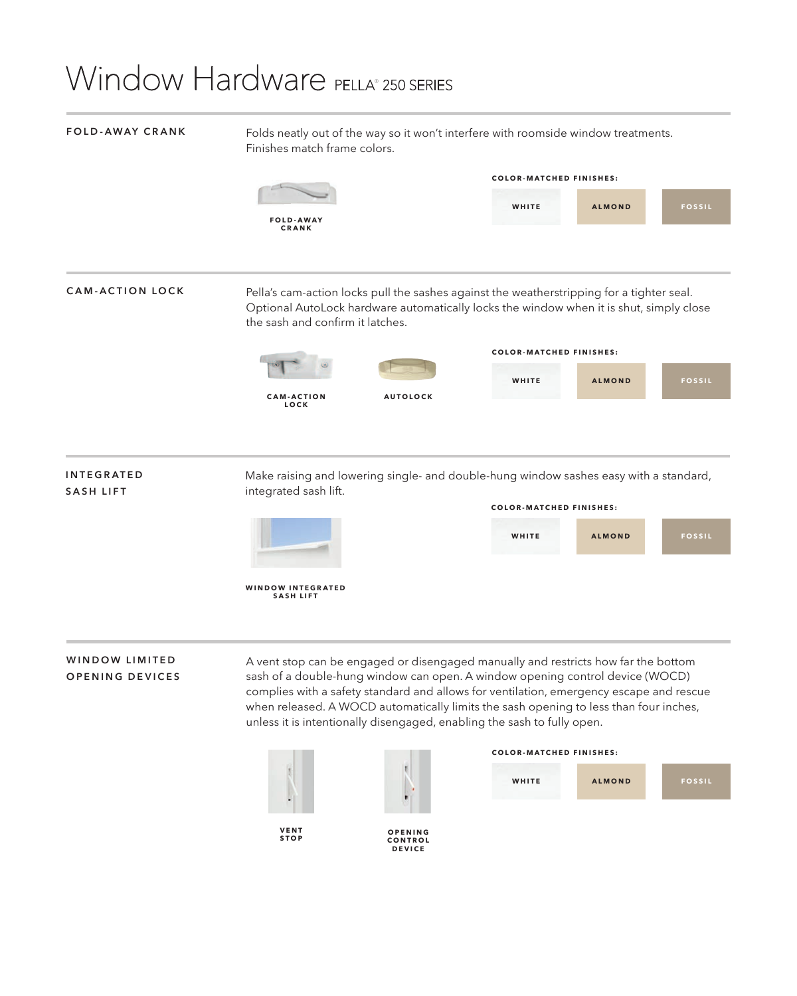## Window Hardware PELLA® 250 SERIES

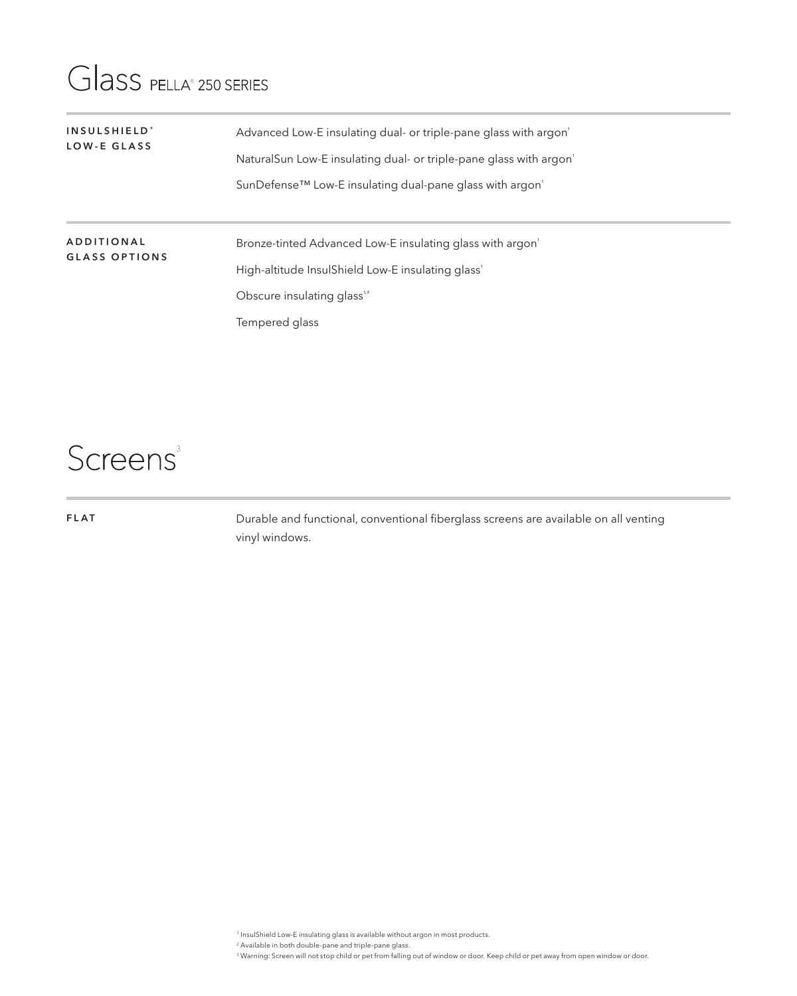### Glass PELLA® 250 SERIES

| INSULSHIELD <sup>*</sup><br>LOW-E GLASS   | Advanced Low-E insulating dual- or triple-pane glass with argon<br>NaturalSun Low-E insulating dual- or triple-pane glass with argon<br>SunDefense™ Low-E insulating dual-pane glass with argon' |
|-------------------------------------------|--------------------------------------------------------------------------------------------------------------------------------------------------------------------------------------------------|
| <b>ADDITIONAL</b><br><b>GLASS OPTIONS</b> | Bronze-tinted Advanced Low-E insulating glass with argon<br>High-altitude InsulShield Low-E insulating glass'<br>Obscure insulating glass <sup>1,2</sup><br>Tempered glass                       |

### Screens<sup>3</sup>

**FLAT**

Durable and functional, conventional fiberglass screens are available on all venting vinyl windows.

1 InsulShield Low-E insulating glass is available without argon in most products.

2 Available in both double-pane and triple-pane glass.

3 Warning: Screen will not stop child or pet from falling out of window or door. Keep child or pet away from open window or door.